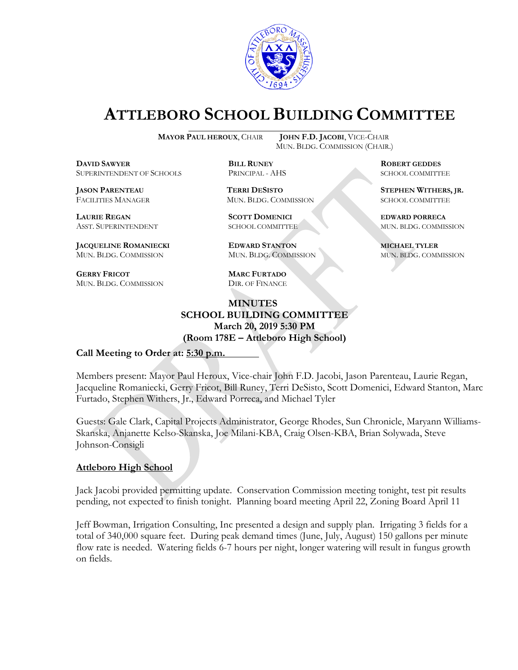

# **ATTLEBORO SCHOOL BUILDING COMMITTEE**

**DDAWYER BILL RUNEY ROBERT GEDDES** SUPERINTENDENT OF SCHOOLS PRINCIPAL - AHS SCHOOL COMMITTEE

FACILITIES MANAGER MUN. BLDG. COMMISSION SCHOOL COMMITTEE

**LAURIE REGAN SCOTT DOMENICI EDWARD PORRECA**

**JACQUELINE ROMANIECKI EDWARD STANTON MICHAEL TYLER** MUN. BLDG. COMMISSION MUN. BLDG. COMMISSION MUN. BLDG. COMMISSION

**GERRY FRICOT MARC FURTADO** MUN. BLDG. COMMISSION DIR. OF FINANCE

**MAYOR PAUL HEROUX**, CHAIR **JOHN F.D. JACOBI**, VICE-CHAIR MUN. BLDG. COMMISSION (CHAIR.)

**JASON PARENTEAU TERRI DESISTO STEPHEN WITHERS, JR.**

ASST. SUPERINTENDENT SCHOOL COMMITTEE MUN. BLDG. COMMISSION

### **MINUTES SCHOOL BUILDING COMMITTEE March 20, 2019 5:30 PM (Room 178E – Attleboro High School)**

#### **Call Meeting to Order at: 5:30 p.m.**

Members present: Mayor Paul Heroux, Vice-chair John F.D. Jacobi, Jason Parenteau, Laurie Regan, Jacqueline Romaniecki, Gerry Fricot, Bill Runey, Terri DeSisto, Scott Domenici, Edward Stanton, Marc Furtado, Stephen Withers, Jr., Edward Porreca, and Michael Tyler

Guests: Gale Clark, Capital Projects Administrator, George Rhodes, Sun Chronicle, Maryann Williams-Skanska, Anjanette Kelso-Skanska, Joe Milani-KBA, Craig Olsen-KBA, Brian Solywada, Steve Johnson-Consigli

#### **Attleboro High School**

Jack Jacobi provided permitting update. Conservation Commission meeting tonight, test pit results pending, not expected to finish tonight. Planning board meeting April 22, Zoning Board April 11

Jeff Bowman, Irrigation Consulting, Inc presented a design and supply plan. Irrigating 3 fields for a total of 340,000 square feet. During peak demand times (June, July, August) 150 gallons per minute flow rate is needed. Watering fields 6-7 hours per night, longer watering will result in fungus growth on fields.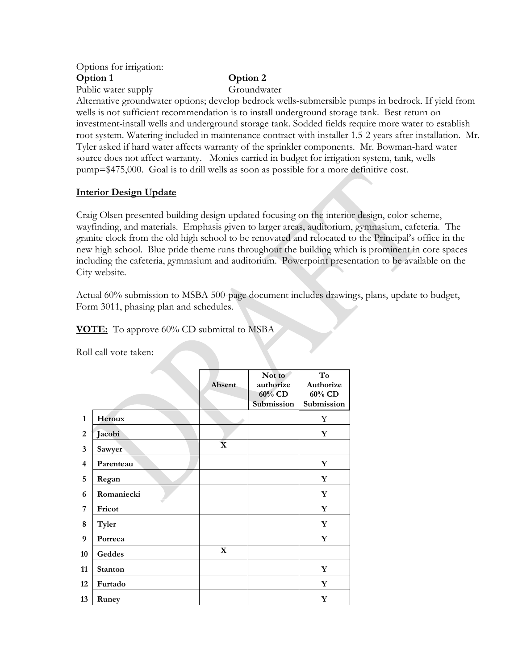#### Options for irrigation: **Option 1 Option 2** Public water supply Groundwater

Alternative groundwater options; develop bedrock wells-submersible pumps in bedrock. If yield from wells is not sufficient recommendation is to install underground storage tank. Best return on investment-install wells and underground storage tank. Sodded fields require more water to establish root system. Watering included in maintenance contract with installer 1.5-2 years after installation. Mr. Tyler asked if hard water affects warranty of the sprinkler components. Mr. Bowman-hard water source does not affect warranty. Monies carried in budget for irrigation system, tank, wells pump=\$475,000. Goal is to drill wells as soon as possible for a more definitive cost.

#### **Interior Design Update**

Craig Olsen presented building design updated focusing on the interior design, color scheme, wayfinding, and materials. Emphasis given to larger areas, auditorium, gymnasium, cafeteria. The granite clock from the old high school to be renovated and relocated to the Principal's office in the new high school. Blue pride theme runs throughout the building which is prominent in core spaces including the cafeteria, gymnasium and auditorium. Powerpoint presentation to be available on the City website.

Actual 60% submission to MSBA 500-page document includes drawings, plans, update to budget, Form 3011, phasing plan and schedules.

**VOTE:** To approve 60% CD submittal to MSBA

Roll call vote taken:

|                |            |             | Not to     | To          |
|----------------|------------|-------------|------------|-------------|
|                |            | Absent      | authorize  | Authorize   |
|                |            |             | 60% CD     | 60% CD      |
|                |            |             | Submission | Submission  |
| 1              | Heroux     |             |            | Y           |
| 2              | Jacobi     |             |            | Y           |
| 3              | Sawyer     | $\mathbf X$ |            |             |
| $\overline{4}$ | Parenteau  |             |            | Y           |
| 5              | Regan      |             |            | Y           |
| 6              | Romaniecki |             |            | Y           |
| 7              | Fricot     |             |            | Y           |
| 8              | Tyler      |             |            | Y           |
| 9              | Porreca    |             |            | Y           |
| 10             | Geddes     | X           |            |             |
| 11             | Stanton    |             |            | $\mathbf Y$ |
| 12             | Furtado    |             |            | Y           |
| 13             | Runey      |             |            | $\mathbf Y$ |